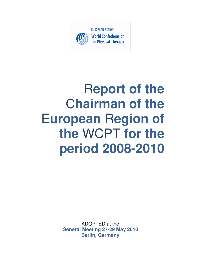

# R**eport of the Chairman of the** E**uropean** R**egion of the** WCPT **for the period 2008-2010**

ADOPTED at the **General Meeting 27-29 May 2010 Berlin, Germany**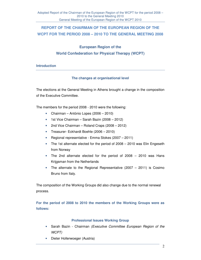# **REPORT OF THE CHAIRMAN OF THE EUROPEAN REGION OF THE WCPT FOR THE PERIOD 2008 – 2010 TO THE GENERAL MEETING 2008**

# **European Region of the World Confederation for Physical Therapy (WCPT)**

# **Introduction**

# **The changes at organisational level**

The elections at the General Meeting in Athens brought a change in the composition of the Executive Committee.

The members for the period 2008 - 2010 were the following:

- Chairman António Lopes (2006 2010)
- 1st Vice Chairman Sarah Bazin (2008 2012)
- 2nd Vice Chairman Roland Craps (2008 2012)
- Treasurer- Eckhardt Boehle (2006 2010)
- Regional representative Emma Stokes (2007 2011)
- The 1st alternate elected for the period of 2008 2010 was Elin Engeseth from Norway
- The 2nd alternate elected for the period of 2008 2010 was Hans Krijgsman from the Netherlands
- The alternate to the Regional Representative (2007 2011) is Cosimo Bruno from Italy.

The composition of the Working Groups did also change due to the normal renewal process.

**For the period of 2008 to 2010 the members of the Working Groups were as follows:** 

# **Professional Issues Working Group**

- Sarah Bazin Chairman (Executive Committee European Region of the WCPT)
- Dieter Hollerwoeger (Austria)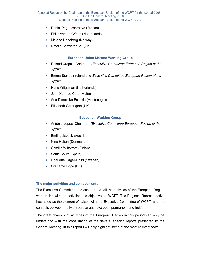- Daniel Paguessorhaye (France)
- Philip van der Wees (Netherlands)
- Malene Haneborg (Norway)
- Natalie Beswetherick (UK)

## **European Union Matters Working Group**

- Roland Craps Chairman *(Executive Committee European Region of the* WCPT)
- Emma Stokes (Ireland and Executive Committee European Region of the WCPT)
- Hans Krijgsman (Netherlands)
- John Xerri de Caro (Malta)
- Ana Dimovska Boljevic (Montenegro)
- Elisabeth Carrington (UK)

#### **Education Working Group**

- António Lopes, Chairman (Executive Committee European Region of the WCPT)
- Emil Igelsbock (Austria)
- Nina Holten (Denmark)
- Camilla Wikstrom (Finland)
- Sonia Souto (Spain)
- Charlotte Hager-Ross (Sweden)
- Grahame Pope (UK)

#### **The major activities and achievements**

The Executive Committee has assured that all the activities of the European Region were in line with the activities and objectives of WCPT. The Regional Representative has acted as the element of liaison with the Executive Committee of WCPT, and the contacts between the two Secretariats have been permanent and fruitful.

The great diversity of activities of the European Region in this period can only be understood with the consultation of the several specific reports presented to the General Meeting. In this report I will only highlight some of the most relevant facts.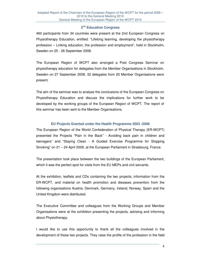# **2 nd Education Congress**

460 participants from 34 countries were present at the 2nd European Congress on Physiotherapy Education, entitled: "Lifelong learning, developing the physiotherapy profession – Linking education, the profession and employment", held in Stockholm, Sweden on 25 - 26 September 2008.

The European Region of WCPT also arranged a Post Congress Seminar on physiotherapy education for delegates from the Member Organisations in Stockholm, Sweden on 27 September 2008. 32 delegates from 20 Member Organisations were present.

The aim of the seminar was to analyse the conclusions of the European Congress on Physiotherapy Education and discuss the implications for further work to be developed by the working groups of the European Region of WCPT. The report of this seminar has been sent to the Member Organisations.

## **EU Projects Granted under the Health Programme 2003 -2008**

The European Region of the World Confederation of Physical Therapy (ER-WCPT) presented the Projects "Pain in the Back" - Avoiding back pain in children and teenagers" and "Staying Clean - A Guided Exercise Programme for Stopping Smoking" on 21 – 24 April 2009, at the European Parliament in Strasbourg, France.

The presentation took place between the two buildings of the European Parliament, which it was the perfect spot for visits from the EU MEPs and civil servants.

At the exhibition, leaflets and CDs containing the two projects, information from the ER-WCPT, and material on health promotion and diseases prevention from the following organisations Austria, Denmark, Germany, Ireland, Norway, Spain and the United Kingdom were distributed.

The Executive Committee and colleagues from the Working Groups and Member Organisations were at the exhibition presenting the projects, advising and informing about Physiotherapy.

I would like to use this opportunity to thank all the colleagues involved in the development of these two projects. They raise the profile of the profession in the field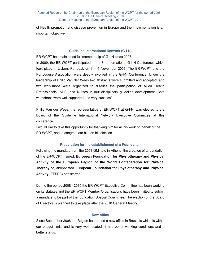of Health promotion and disease prevention in Europe and the implementation is an important objective.

#### **Guideline International Network (G-I-N)**

ER-WCPT has maintained full membership of G-I-N since 2007.

In 2009, the ER-WCPT participated in the 6th International G-I-N Conference which took place in Lisbon, Portugal, on  $1 - 4$  November 2009. The ER-WCPT and the Portuguese Association were deeply involved in the G-I-N Conference. Under the leadership of Philip Van der Wees two abstracts were submitted and accepted, and two workshops were organized to discuss the participation of Allied Health Professionals (AHP) and Nurses in multidisciplinary guideline development. Both workshops were well supported and very successful.

Philip Van der Wees, the representative of ER-WCPT at G-I-N, was elected to the Board of the Guideline International Network Executive Committee at this conference.

I would like to take this opportunity for thanking him for all his work on behalf of the ER-WCPT, and to congratulate him on his election.

#### **Preparation for the establishment of a Foundation**

Following the mandate from the 2008 GM held in Athens, the creation of a foundation of the ER-WCPT named: **European Foundation for Physiotherapy and Physical Activity of the European Region of the World Confederation for Physical Therapy** or, abbreviated **European Foundation for Physiotherapy and Physical Activity** (EFPPA) has started.

During the period 2008 - 2010 the ER-WCPT Executive Committee has been working on its statutes and the ER-WCPT Member Organisations have been invited to submit a mandate to be part of the foundation Special Committee. The election of the Board of Directors is planned to take place after the 2010 General Meeting.

#### **New office**

Since September 2008 the Region has rented a new office in Brussels which is within our budget limits and is very well located. It has better working conditions and a better status.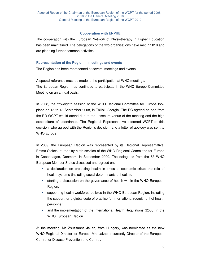# **Cooperation with ENPHE**

The cooperation with the European Network of Physiotherapy in Higher Education has been maintained. The delegations of the two organisations have met in 2010 and are planning further common activities.

# **Representation of the Region in meetings and events**

The Region has been represented at several meetings and events.

A special reference must be made to the participation at WHO meetings. The European Region has continued to participate in the WHO Europe Committee Meeting on an annual basis.

In 2008, the fifty-eighth session of the WHO Regional Committee for Europe took place on 15 to 18 September 2008, in Tbilisi, Georgia. The EC agreed no one from the ER-WCPT would attend due to the unsecure venue of the meeting and the high expenditure of attendance. The Regional Representative informed WCPT of this decision, who agreed with the Region's decision, and a letter of apology was sent to WHO Europe.

In 2009, the European Region was represented by its Regional Representative, Emma Stokes, at the fifty-ninth session of the WHO Regional Committee for Europe in Copenhagen, Denmark, in September 2009. The delegates from the 53 WHO European Member States discussed and agreed on:

- a declaration on protecting health in times of economic crisis: the role of health systems (including social determinants of health);
- starting a discussion on the governance of health within the WHO European Region;
- supporting health workforce policies in the WHO European Region, including the support for a global code of practice for international recruitment of health personnel;
- and the implementation of the International Health Regulations (2005) in the WHO European Region.

At the meeting, Ms Zsuzsanna Jakab, from Hungary, was nominated as the new WHO Regional Director for Europe. Mrs Jakab is currently Director of the European Centre for Disease Prevention and Control.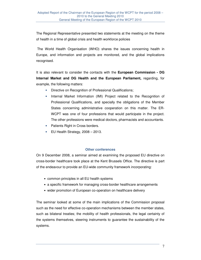The Regional Representative presented two statements at the meeting on the theme of health in a time of global crisis and health workforce policies

 The World Health Organisation (WHO) shares the issues concerning health in Europe, and information and projects are monitored, and the global implications recognised.

It is also relevant to consider the contacts with the **European Commission - DG Internal Market and DG Health and the European Parliament,** regarding, for example, the following matters:

- Directive on Recognition of Professional Qualifications;
- Internal Market Information (IMI) Project related to the Recognition of Professional Qualifications, and specially the obligations of the Member States concerning administrative cooperation on this matter. The ER-WCPT was one of four professions that would participate in the project. The other professions were medical doctors, pharmacists and accountants.
- Patients Right in Cross borders.
- $\bullet$  EU Health Strategy, 2008 2013.

#### **Other conferences**

On 9 December 2008, a seminar aimed at examining the proposed EU directive on cross-border healthcare took place at the Kent Brussels Office. The directive is part of the endeavour to provide an EU-wide community framework incorporating:

- common principles in all EU health systems
- a specific framework for managing cross-border healthcare arrangements
- wider promotion of European co-operation on healthcare delivery

The seminar looked at some of the main implications of the Commission proposal such as the need for effective co-operation mechanisms between the member states, such as bilateral treaties; the mobility of health professionals, the legal certainty of the systems themselves, steering instruments to guarantee the sustainability of the systems.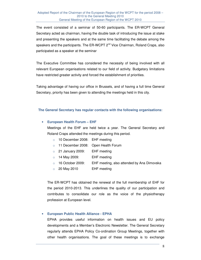The event consisted of a seminar of 50-60 participants. The ER-WCPT General Secretary acted as chairman, having the double task of introducing the issue at stake and presenting the speakers and at the same time facilitating the debate among the speakers and the participants. The ER-WCPT 2<sup>nd</sup> Vice Chairman, Roland Craps, also participated as a speaker at the seminar

The Executive Committee has considered the necessity of being involved with all relevant European organisations related to our field of activity. Budgetary limitations have restricted greater activity and forced the establishment of priorities.

Taking advantage of having our office in Brussels, and of having a full time General Secretary, priority has been given to attending the meetings held in this city.

#### **The General Secretary has regular contacts with the following organisations:**

# • **European Health Forum – EHF**

Meetings of the EHF are held twice a year. The General Secretary and Roland Craps attended the meetings during this period.

- o 10 December 2008: EHF meeting
- o 11 December 2008: Open Health Forum
- o 21 January 2009: EHF meeting
- $\circ$  14 May 2009: EHF meeting
- o 16 October 2009: EHF meeting, also attended by Ana Dimovska
- $\circ$  20 May 2010 EHF meeting

The ER-WCPT has obtained the renewal of the full membership of EHF for the period 2010-2013. This underlines the quality of our participation and contributes to consolidate our role as the voice of the physiotherapy profession at European level.

# • **European Public Health Alliance - EPHA**

EPHA provides useful information on health issues and EU policy developments and a Member's Electronic Newsletter. The General Secretary regularly attends EPHA Policy Co-ordination Group Meetings, together with other health organisations. The goal of these meetings is to exchange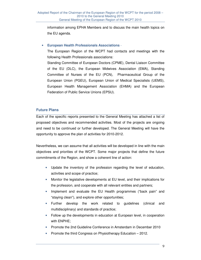information among EPHA Members and to discuss the main health topics on the EU agenda.

# • **European Health Professionals Associations** -

The European Region of the WCPT had contacts and meetings with the following Health Professionals associations:

Standing Committee of European Doctors (CPME), Dental Liaison Committee of the EU (DLC), the European Midwives Association (EMA), Standing Committee of Nurses of the EU (PCN), Pharmaceutical Group of the European Union (PGEU), European Union of Medical Specialists (UEMS), European Health Management Association (EHMA) and the European Federation of Public Service Unions (EPSU).

# **Future Plans**

Each of the specific reports presented to the General Meeting has attached a list of proposed objectives and recommended activities. Most of the projects are ongoing and need to be continued or further developed. The General Meeting will have the opportunity to approve the plan of activities for 2010-2012.

Nevertheless, we can assume that all activities will be developed in line with the main objectives and priorities of the WCPT. Some major projects that define the future commitments of the Region, and show a coherent line of action:

- Update the inventory of the profession regarding the level of education, activities and scope of practice;
- Monitor the legislative developments at EU level, and their implications for the profession, and cooperate with all relevant entities and partners;
- Implement and evaluate the EU Health programmes ("back pain" and "staying clean"), and explore other opportunities;
- Further develop the work related to guidelines (clinical and multidisciplinary) and standards of practice;
- Follow up the developments in education at European level, in cooperation with ENPHE;
- Promote the 2nd Guideline Conference in Amsterdam in December 2010
- Promote the third Congress on Physiotherapy Education 2012.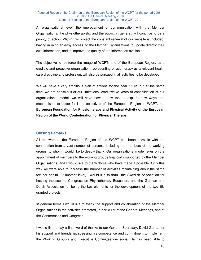At organisational level, the improvement of communication with the Member Organisations, the physiotherapists, and the public, in general, will continue to be a priority of action. Within this project the constant renewal of our website is included, having in mind an easy access to the Member Organisations to update directly their own information, and to improve the quality of the information available.

The objective to reinforce the image of WCPT, and of the European Region, as a credible and proactive organisation, representing physiotherapy as a relevant health care discipline and profession, will also be pursued in all activities to be developed.

We will have a very ambitious plan of actions for the near future, but at the same time, we are conscious of our limitations. After twelve years of consolidation of our organisational model, we will have now a new tool to explore new ways and mechanisms to better fulfil the objectives of the European Region of WCPT, the **European Foundation for Physiotherapy and Physical Activity of the European Region of the World Confederation for Physical Therapy.**

# **Closing Remarks**

All the work of the European Region of the WCPT has been possible with the contribution from a vast number of persons, including the members of the working groups, to whom I would like to deeply thank. Our organisational model relies on the appointment of members to the working groups financially supported by the Member Organisations, and I would like to thank those who have made it possible. Only this way we were able to increase the number of activities maintaining about the same fee per capita. At another level, I would like to thank the Swedish Association for hosting the second Congress on Physiotherapy Education, and the German and Dutch Association for being the key elements for the development of the two EU granted projects.

In general terms I would like to thank the support and collaboration of the Member Organisations in the activities promoted, in particular at the General Meetings, and at the Conferences and Congress.

I would like to say a final word of thanks to our General Secretary, David Gorria, for his support and friendship, stressing his competence and commitment to implement the Working Group's and Executive Committee decisions. He has been able to